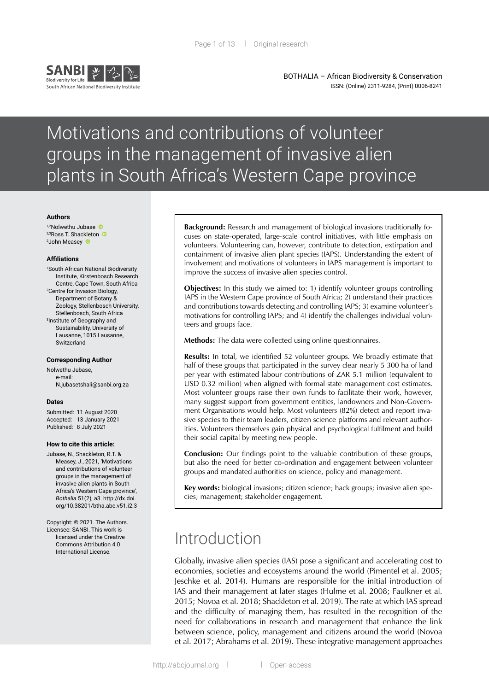

BOTHALIA – African Biodiversity & Conservation ISSN: (Online) 2311-9284, (Print) 0006-8241

# Motivations and contributions of volunteer groups in the management of invasive alien plants in South Africa's Western Cape province

#### **Authors**

1,2Nolwethu Jubase <sup>2,3</sup>RossT. Shackleton <sup>®</sup> 2 John Measey

#### **Affiliations**

1 South African National Biodiversity Institute, Kirstenbosch Research Centre, Cape Town, South Africa 2 Centre for Invasion Biology, Department of Botany & Zoology, Stellenbosch University, Stellenbosch, South Africa 3 Institute of Geography and Sustainability, University of Lausanne, 1015 Lausanne, Switzerland

#### **Corresponding Author**

Nolwethu Jubase, e-mail: [N.jubasetshali@sanbi.org.za](mailto:N.jubasetshali%40sanbi.org.za?subject=)

#### **Dates**

Submitted: 11 August 2020 Accepted: 13 January 2021 Published: 8 July 2021

#### **How to cite this article:**

- Jubase, N., Shackleton, R.T. & Measey, J., 2021, 'Motivations and contributions of volunteer groups in the management of invasive alien plants in South Africa's Western Cape province', *Bothalia* 51(2), a3. [http://dx.doi.](http://dx.doi.org/10.38201/btha.abc.v51.i2) [org/10.38201/btha.abc.v51.i2](http://dx.doi.org/10.38201/btha.abc.v51.i2).3
- Copyright: © 2021. The Authors. Licensee: SANBI. This work is licensed under the Creative Commons Attribution 4.0 International License.

**Background:** Research and management of biological invasions traditionally focuses on state-operated, large-scale control initiatives, with little emphasis on volunteers. Volunteering can, however, contribute to detection, extirpation and containment of invasive alien plant species (IAPS). Understanding the extent of involvement and motivations of volunteers in IAPS management is important to improve the success of invasive alien species control.

**Objectives:** In this study we aimed to: 1) identify volunteer groups controlling IAPS in the Western Cape province of South Africa; 2) understand their practices and contributions towards detecting and controlling IAPS; 3) examine volunteer's motivations for controlling IAPS; and 4) identify the challenges individual volunteers and groups face.

**Methods:** The data were collected using online questionnaires.

**Results:** In total, we identified 52 volunteer groups. We broadly estimate that half of these groups that participated in the survey clear nearly 5 300 ha of land per year with estimated labour contributions of ZAR 5.1 million (equivalent to USD 0.32 million) when aligned with formal state management cost estimates. Most volunteer groups raise their own funds to facilitate their work, however, many suggest support from government entities, landowners and Non-Government Organisations would help. Most volunteers (82%) detect and report invasive species to their team leaders, citizen science platforms and relevant authorities. Volunteers themselves gain physical and psychological fulfilment and build their social capital by meeting new people.

**Conclusion:** Our findings point to the valuable contribution of these groups, but also the need for better co-ordination and engagement between volunteer groups and mandated authorities on science, policy and management.

**Key words:** biological invasions; citizen science; hack groups; invasive alien species; management; stakeholder engagement.

## Introduction

Globally, invasive alien species (IAS) pose a significant and accelerating cost to economies, societies and ecosystems around the world (Pimentel et al. 2005; Jeschke et al. 2014). Humans are responsible for the initial introduction of IAS and their management at later stages (Hulme et al. 2008; Faulkner et al. 2015; Novoa et al. 2018; Shackleton et al. 2019). The rate at which IAS spread and the difficulty of managing them, has resulted in the recognition of the need for collaborations in research and management that enhance the link between science, policy, management and citizens around the world (Novoa et al. 2017; Abrahams et al. 2019). These integrative management approaches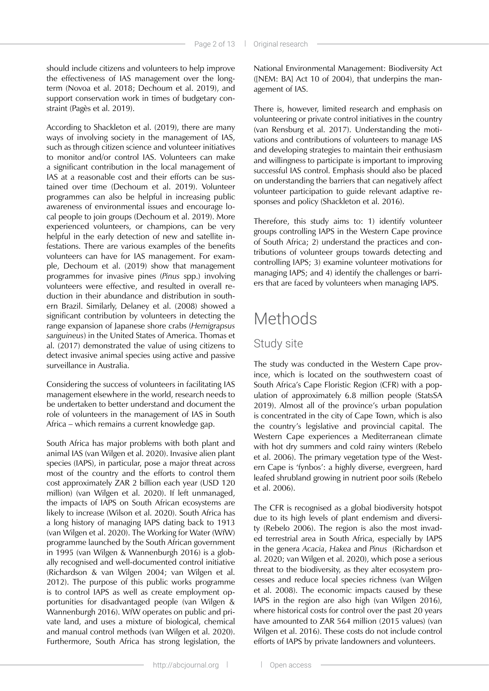should include citizens and volunteers to help improve the effectiveness of IAS management over the longterm (Novoa et al. 2018; Dechoum et al. 2019), and support conservation work in times of budgetary constraint (Pagès et al. 2019).

According to Shackleton et al. (2019), there are many ways of involving society in the management of IAS, such as through citizen science and volunteer initiatives to monitor and/or control IAS. Volunteers can make a significant contribution in the local management of IAS at a reasonable cost and their efforts can be sustained over time (Dechoum et al. 2019). Volunteer programmes can also be helpful in increasing public awareness of environmental issues and encourage local people to join groups (Dechoum et al. 2019). More experienced volunteers, or champions, can be very helpful in the early detection of new and satellite infestations. There are various examples of the benefits volunteers can have for IAS management. For example, Dechoum et al. (2019) show that management programmes for invasive pines (*Pinus* spp.) involving volunteers were effective, and resulted in overall reduction in their abundance and distribution in southern Brazil. Similarly, Delaney et al. (2008) showed a significant contribution by volunteers in detecting the range expansion of Japanese shore crabs (*Hemigrapsus sanguineus*) in the United States of America. Thomas et al. (2017) demonstrated the value of using citizens to detect invasive animal species using active and passive surveillance in Australia.

Considering the success of volunteers in facilitating IAS management elsewhere in the world, research needs to be undertaken to better understand and document the role of volunteers in the management of IAS in South Africa – which remains a current knowledge gap.

South Africa has major problems with both plant and animal IAS (van Wilgen et al. 2020). Invasive alien plant species (IAPS), in particular, pose a major threat across most of the country and the efforts to control them cost approximately ZAR 2 billion each year (USD 120 million) (van Wilgen et al. 2020). If left unmanaged, the impacts of IAPS on South African ecosystems are likely to increase (Wilson et al. 2020). South Africa has a long history of managing IAPS dating back to 1913 (van Wilgen et al. 2020). The Working for Water (WfW) programme launched by the South African government in 1995 (van Wilgen & Wannenburgh 2016) is a globally recognised and well-documented control initiative (Richardson & van Wilgen 2004; van Wilgen et al. 2012). The purpose of this public works programme is to control IAPS as well as create employment opportunities for disadvantaged people (van Wilgen & Wannenburgh 2016). WfW operates on public and private land, and uses a mixture of biological, chemical and manual control methods (van Wilgen et al. 2020). Furthermore, South Africa has strong legislation, the

National Environmental Management: Biodiversity Act ([NEM: BA] Act 10 of 2004), that underpins the management of IAS.

There is, however, limited research and emphasis on volunteering or private control initiatives in the country (van Rensburg et al. 2017). Understanding the motivations and contributions of volunteers to manage IAS and developing strategies to maintain their enthusiasm and willingness to participate is important to improving successful IAS control. Emphasis should also be placed on understanding the barriers that can negatively affect volunteer participation to guide relevant adaptive responses and policy (Shackleton et al. 2016).

Therefore, this study aims to: 1) identify volunteer groups controlling IAPS in the Western Cape province of South Africa; 2) understand the practices and contributions of volunteer groups towards detecting and controlling IAPS; 3) examine volunteer motivations for managing IAPS; and 4) identify the challenges or barriers that are faced by volunteers when managing IAPS.

# Methods

#### Study site

The study was conducted in the Western Cape province, which is located on the southwestern coast of South Africa's Cape Floristic Region (CFR) with a population of approximately 6.8 million people (StatsSA 2019). Almost all of the province's urban population is concentrated in the city of Cape Town, which is also the country's legislative and provincial capital. The Western Cape experiences a Mediterranean climate with hot dry summers and cold rainy winters (Rebelo et al. 2006). The primary vegetation type of the Western Cape is 'fynbos': a highly diverse, evergreen, hard leafed shrubland growing in nutrient poor soils (Rebelo et al. 2006).

The CFR is recognised as a global biodiversity hotspot due to its high levels of plant endemism and diversity (Rebelo 2006). The region is also the most invaded terrestrial area in South Africa, especially by IAPS in the genera *Acacia*, *Hakea* and *Pinus* (Richardson et al. 2020; van Wilgen et al. 2020), which pose a serious threat to the biodiversity, as they alter ecosystem processes and reduce local species richness (van Wilgen et al. 2008). The economic impacts caused by these IAPS in the region are also high (van Wilgen 2016), where historical costs for control over the past 20 years have amounted to ZAR 564 million (2015 values) (van Wilgen et al. 2016). These costs do not include control efforts of IAPS by private landowners and volunteers.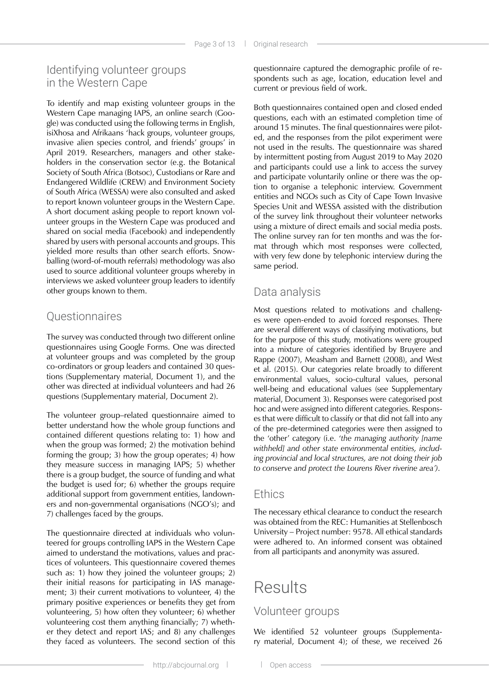### Identifying volunteer groups in the Western Cape

To identify and map existing volunteer groups in the Western Cape managing IAPS, an online search (Google) was conducted using the following terms in English, isiXhosa and Afrikaans 'hack groups, volunteer groups, invasive alien species control, and friends' groups' in April 2019. Researchers, managers and other stakeholders in the conservation sector (e.g. the Botanical Society of South Africa (Botsoc), Custodians or Rare and Endangered Wildlife (CREW) and Environment Society of South Africa (WESSA) were also consulted and asked to report known volunteer groups in the Western Cape. A short document asking people to report known volunteer groups in the Western Cape was produced and shared on social media (Facebook) and independently shared by users with personal accounts and groups. This yielded more results than other search efforts. Snowballing (word-of-mouth referrals) methodology was also used to source additional volunteer groups whereby in interviews we asked volunteer group leaders to identify other groups known to them.

### **Questionnaires**

The survey was conducted through two different online questionnaires using Google Forms. One was directed at volunteer groups and was completed by the group co-ordinators or group leaders and contained 30 questions (Supplementary material, Document 1), and the other was directed at individual volunteers and had 26 questions (Supplementary material, Document 2).

The volunteer group–related questionnaire aimed to better understand how the whole group functions and contained different questions relating to: 1) how and when the group was formed; 2) the motivation behind forming the group; 3) how the group operates; 4) how they measure success in managing IAPS; 5) whether there is a group budget, the source of funding and what the budget is used for; 6) whether the groups require additional support from government entities, landowners and non-governmental organisations (NGO's); and 7) challenges faced by the groups.

The questionnaire directed at individuals who volunteered for groups controlling IAPS in the Western Cape aimed to understand the motivations, values and practices of volunteers. This questionnaire covered themes such as: 1) how they joined the volunteer groups; 2) their initial reasons for participating in IAS management; 3) their current motivations to volunteer, 4) the primary positive experiences or benefits they get from volunteering, 5) how often they volunteer; 6) whether volunteering cost them anything financially; 7) whether they detect and report IAS; and 8) any challenges they faced as volunteers. The second section of this

questionnaire captured the demographic profile of respondents such as age, location, education level and current or previous field of work.

Both questionnaires contained open and closed ended questions, each with an estimated completion time of around 15 minutes. The final questionnaires were piloted, and the responses from the pilot experiment were not used in the results. The questionnaire was shared by intermittent posting from August 2019 to May 2020 and participants could use a link to access the survey and participate voluntarily online or there was the option to organise a telephonic interview. Government entities and NGOs such as City of Cape Town Invasive Species Unit and WESSA assisted with the distribution of the survey link throughout their volunteer networks using a mixture of direct emails and social media posts. The online survey ran for ten months and was the format through which most responses were collected, with very few done by telephonic interview during the same period.

### Data analysis

Most questions related to motivations and challenges were open-ended to avoid forced responses. There are several different ways of classifying motivations, but for the purpose of this study, motivations were grouped into a mixture of categories identified by Bruyere and Rappe (2007), Measham and Barnett (2008), and West et al. (2015). Our categories relate broadly to different environmental values, socio-cultural values, personal well-being and educational values (see Supplementary material, Document 3). Responses were categorised post hoc and were assigned into different categories. Responses that were difficult to classify or that did not fall into any of the pre-determined categories were then assigned to the 'other' category (i.e. '*the managing authority [name withheld] and other state environmental entities, including provincial and local structures, are not doing their job to conserve and protect the Lourens River riverine area')*.

#### **Ethics**

The necessary ethical clearance to conduct the research was obtained from the REC: Humanities at Stellenbosch University – Project number: 9578. All ethical standards were adhered to. An informed consent was obtained from all participants and anonymity was assured.

# Results

### Volunteer groups

We identified 52 volunteer groups (Supplementary material, Document 4); of these, we received 26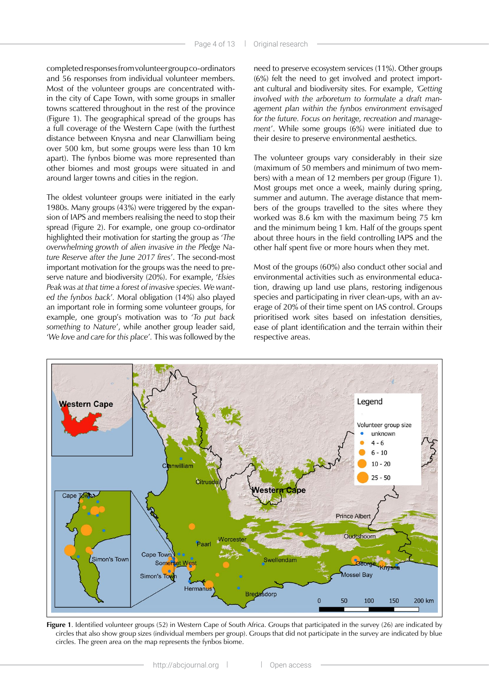completed responses from volunteer group co-ordinators and 56 responses from individual volunteer members. Most of the volunteer groups are concentrated within the city of Cape Town, with some groups in smaller towns scattered throughout in the rest of the province (Figure 1). The geographical spread of the groups has a full coverage of the Western Cape (with the furthest distance between Knysna and near Clanwilliam being over 500 km, but some groups were less than 10 km apart). The fynbos biome was more represented than other biomes and most groups were situated in and around larger towns and cities in the region.

The oldest volunteer groups were initiated in the early 1980s. Many groups (43%) were triggered by the expansion of IAPS and members realising the need to stop their spread (Figure 2). For example, one group co-ordinator highlighted their motivation for starting the group as '*The overwhelming growth of alien invasive in the Pledge Nature Reserve after the June 2017 fires*'. The second-most important motivation for the groups was the need to preserve nature and biodiversity (20%). For example, '*Elsies Peak was at that time a forest of invasive species. We wanted the fynbos back*'*.* Moral obligation (14%) also played an important role in forming some volunteer groups, for example, one group's motivation was to '*To put back something to Nature*', while another group leader said, '*We love and care for this place*'*.* This was followed by the

need to preserve ecosystem services (11%). Other groups (6%) felt the need to get involved and protect important cultural and biodiversity sites. For example, *'Getting involved with the arboretum to formulate a draft management plan within the fynbos environment envisaged for the future. Focus on heritage, recreation and management*'. While some groups (6%) were initiated due to their desire to preserve environmental aesthetics.

The volunteer groups vary considerably in their size (maximum of 50 members and minimum of two members) with a mean of 12 members per group (Figure 1). Most groups met once a week, mainly during spring, summer and autumn. The average distance that members of the groups travelled to the sites where they worked was 8.6 km with the maximum being 75 km and the minimum being 1 km. Half of the groups spent about three hours in the field controlling IAPS and the other half spent five or more hours when they met.

Most of the groups (60%) also conduct other social and environmental activities such as environmental education, drawing up land use plans, restoring indigenous species and participating in river clean-ups, with an average of 20% of their time spent on IAS control. Groups prioritised work sites based on infestation densities, ease of plant identification and the terrain within their respective areas.



**Figure 1**. Identified volunteer groups (52) in Western Cape of South Africa. Groups that participated in the survey (26) are indicated by circles that also show group sizes (individual members per group). Groups that did not participate in the survey are indicated by blue circles. The green area on the map represents the fynbos biome.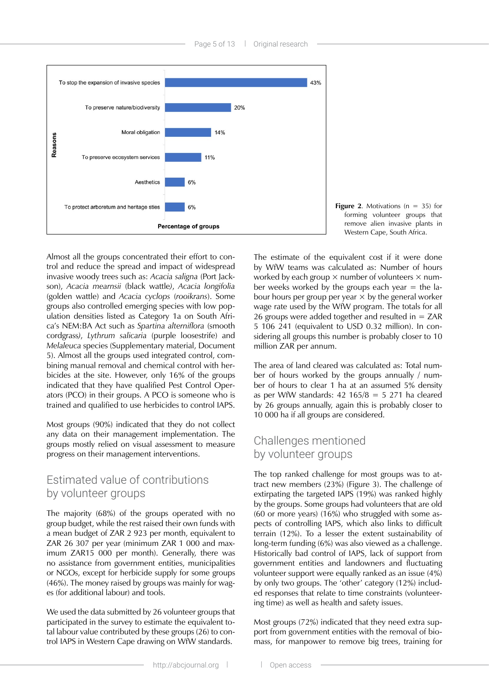

**Figure 2.** Motivations ( $n = 35$ ) for forming volunteer groups that remove alien invasive plants in Western Cape, South Africa.

Almost all the groups concentrated their effort to control and reduce the spread and impact of widespread invasive woody trees such as: *Acacia saligna* (Port Jackson), *Acacia mearnsii* (black wattle*)*, *Acacia longifolia*  (golden wattle) and *Acacia cyclops* (*rooikrans*). Some groups also controlled emerging species with low population densities listed as Category 1a on South Africa's NEM:BA Act such as *Spartina alterniflora* (smooth cordgrass*)*, *Lythrum salicaria* (purple loosestrife) and *Melaleuca* species (Supplementary material, Document 5). Almost all the groups used integrated control, combining manual removal and chemical control with herbicides at the site. However, only 16% of the groups indicated that they have qualified Pest Control Operators (PCO) in their groups. A PCO is someone who is trained and qualified to use herbicides to control IAPS.

Most groups (90%) indicated that they do not collect any data on their management implementation. The groups mostly relied on visual assessment to measure progress on their management interventions.

#### Estimated value of contributions by volunteer groups

The majority (68%) of the groups operated with no group budget, while the rest raised their own funds with a mean budget of ZAR 2 923 per month, equivalent to ZAR 26 307 per year (minimum ZAR 1 000 and maximum ZAR15 000 per month). Generally, there was no assistance from government entities, municipalities or NGOs, except for herbicide supply for some groups (46%). The money raised by groups was mainly for wages (for additional labour) and tools.

We used the data submitted by 26 volunteer groups that participated in the survey to estimate the equivalent total labour value contributed by these groups (26) to control IAPS in Western Cape drawing on WfW standards.

The estimate of the equivalent cost if it were done by WfW teams was calculated as: Number of hours worked by each group  $\times$  number of volunteers  $\times$  number weeks worked by the groups each year  $=$  the labour hours per group per year  $\times$  by the general worker wage rate used by the WfW program. The totals for all 26 groups were added together and resulted in = ZAR 5 106 241 (equivalent to USD 0.32 million). In considering all groups this number is probably closer to 10 million ZAR per annum.

The area of land cleared was calculated as: Total number of hours worked by the groups annually / number of hours to clear 1 ha at an assumed 5% density as per WfW standards:  $42$  165/8 = 5 271 ha cleared by 26 groups annually, again this is probably closer to 10 000 ha if all groups are considered.

#### Challenges mentioned by volunteer groups

The top ranked challenge for most groups was to attract new members (23%) (Figure 3). The challenge of extirpating the targeted IAPS (19%) was ranked highly by the groups. Some groups had volunteers that are old (60 or more years) (16%) who struggled with some aspects of controlling IAPS, which also links to difficult terrain (12%). To a lesser the extent sustainability of long-term funding (6%) was also viewed as a challenge. Historically bad control of IAPS, lack of support from government entities and landowners and fluctuating volunteer support were equally ranked as an issue (4%) by only two groups. The 'other' category (12%) included responses that relate to time constraints (volunteering time) as well as health and safety issues.

Most groups (72%) indicated that they need extra support from government entities with the removal of biomass, for manpower to remove big trees, training for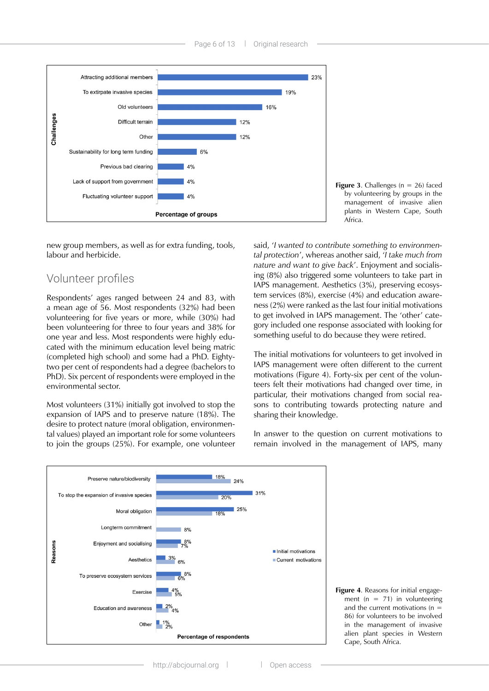

**Figure 3.** Challenges ( $n = 26$ ) faced by volunteering by groups in the management of invasive alien plants in Western Cape, South Africa.

new group members, as well as for extra funding, tools, labour and herbicide.

#### Volunteer profiles

Respondents' ages ranged between 24 and 83, with a mean age of 56. Most respondents (32%) had been volunteering for five years or more, while (30%) had been volunteering for three to four years and 38% for one year and less. Most respondents were highly educated with the minimum education level being matric (completed high school) and some had a PhD. Eightytwo per cent of respondents had a degree (bachelors to PhD). Six percent of respondents were employed in the environmental sector.

Most volunteers (31%) initially got involved to stop the expansion of IAPS and to preserve nature (18%). The desire to protect nature (moral obligation, environmental values) played an important role for some volunteers to join the groups (25%). For example, one volunteer

said, '*I wanted to contribute something to environmental protection*', whereas another said, '*I take much from nature and want to give back*'. Enjoyment and socialising (8%) also triggered some volunteers to take part in IAPS management. Aesthetics (3%), preserving ecosystem services (8%), exercise (4%) and education awareness (2%) were ranked as the last four initial motivations to get involved in IAPS management. The 'other' category included one response associated with looking for something useful to do because they were retired.

The initial motivations for volunteers to get involved in IAPS management were often different to the current motivations (Figure 4). Forty-six per cent of the volunteers felt their motivations had changed over time, in particular, their motivations changed from social reasons to contributing towards protecting nature and sharing their knowledge.

In answer to the question on current motivations to remain involved in the management of IAPS, many



**Figure 4**. Reasons for initial engagement  $(n = 71)$  in volunteering and the current motivations (n = 86) for volunteers to be involved in the management of invasive alien plant species in Western Cape, South Africa.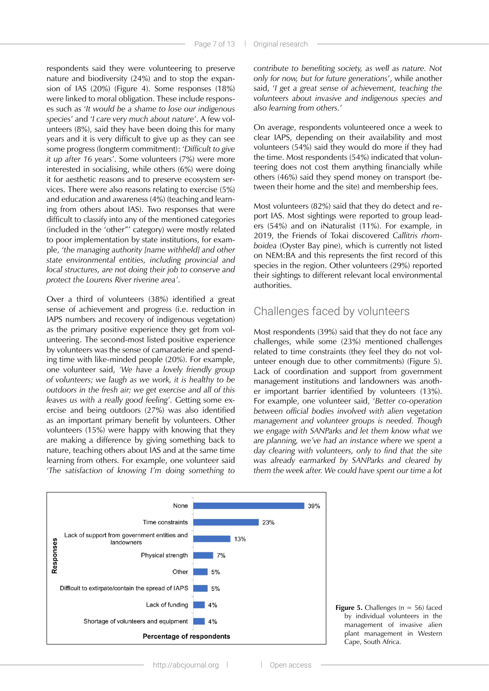respondents said they were volunteering to preserve nature and biodiversity (24%) and to stop the expansion of IAS (20%) (Figure 4). Some responses (18%) were linked to moral obligation. These include responses such as '*It would be a shame to lose our indigenous species*' and '*I care very much about nature*'. A few volunteers (8%), said they have been doing this for many years and it is very difficult to give up as they can see some progress (longterm commitment): '*Difficult to give it up after 16 years*'. Some volunteers (7%) were more interested in socialising, while others (6%) were doing it for aesthetic reasons and to preserve ecosystem services. There were also reasons relating to exercise (5%) and education and awareness (4%) (teaching and learning from others about IAS). Two responses that were difficult to classify into any of the mentioned categories (included in the 'other"' category) were mostly related to poor implementation by state institutions, for example, '*the managing authority [name withheld] and other state environmental entities, including provincial and local structures, are not doing their job to conserve and protect the Lourens River riverine area'*.

Over a third of volunteers (38%) identified a great sense of achievement and progress (i.e. reduction in IAPS numbers and recovery of indigenous vegetation) as the primary positive experience they get from volunteering. The second-most listed positive experience by volunteers was the sense of camaraderie and spending time with like-minded people (20%). For example, one volunteer said, *'We have a lovely friendly group of volunteers; we laugh as we work, it is healthy to be outdoors in the fresh air; we get exercise and all of this leaves us with a really good feeling*'*.* Getting some exercise and being outdoors (27%) was also identified as an important primary benefit by volunteers. Other volunteers (15%) were happy with knowing that they are making a difference by giving something back to nature, teaching others about IAS and at the same time learning from others. For example, one volunteer said '*The satisfaction of knowing I'm doing something to* 

*contribute to benefiting society, as well as nature. Not only for now, but for future generations*', while another said, '*I get a great sense of achievement, teaching the volunteers about invasive and indigenous species and also learning from others.*'

On average, respondents volunteered once a week to clear IAPS, depending on their availability and most volunteers (54%) said they would do more if they had the time. Most respondents (54%) indicated that volunteering does not cost them anything financially while others (46%) said they spend money on transport (between their home and the site) and membership fees.

Most volunteers (82%) said that they do detect and report IAS. Most sightings were reported to group leaders (54%) and on iNaturalist (11%). For example, in 2019, the Friends of Tokai discovered *Callitris rhomboidea* (Oyster Bay pine), which is currently not listed on NEM:BA and this represents the first record of this species in the region. Other volunteers (29%) reported their sightings to different relevant local environmental authorities.

#### Challenges faced by volunteers

Most respondents (39%) said that they do not face any challenges, while some (23%) mentioned challenges related to time constraints (they feel they do not volunteer enough due to other commitments) (Figure 5). Lack of coordination and support from government management institutions and landowners was another important barrier identified by volunteers (13%). For example, one volunteer said, '*Better co-operation between official bodies involved with alien vegetation management and volunteer groups is needed. Though we engage with SANParks and let them know what we are planning, we've had an instance where we spent a day clearing with volunteers, only to find that the site was already earmarked by SANParks and cleared by them the week after. We could have spent our time a lot* 



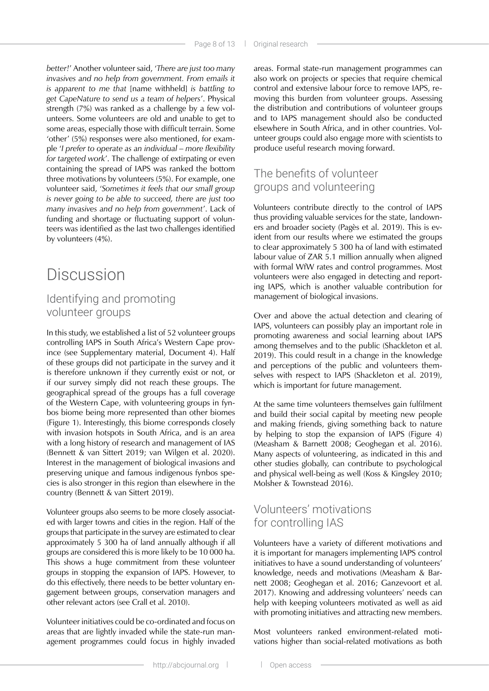*better!*' Another volunteer said, '*There are just too many invasives and no help from government. From emails it is apparent to me that* [name withheld] *is battling to get CapeNature to send us a team of helpers*'. Physical strength (7%) was ranked as a challenge by a few volunteers. Some volunteers are old and unable to get to some areas, especially those with difficult terrain. Some 'other' (5%) responses were also mentioned, for example '*I prefer to operate as an individual – more flexibility for targeted work*'. The challenge of extirpating or even containing the spread of IAPS was ranked the bottom three motivations by volunteers (5%). For example, one volunteer said, '*Sometimes it feels that our small group is never going to be able to succeed, there are just too many invasives and no help from government*'. Lack of funding and shortage or fluctuating support of volunteers was identified as the last two challenges identified by volunteers (4%).

## Discussion

### Identifying and promoting volunteer groups

In this study, we established a list of 52 volunteer groups controlling IAPS in South Africa's Western Cape province (see Supplementary material, Document 4). Half of these groups did not participate in the survey and it is therefore unknown if they currently exist or not, or if our survey simply did not reach these groups. The geographical spread of the groups has a full coverage of the Western Cape, with volunteering groups in fynbos biome being more represented than other biomes (Figure 1). Interestingly, this biome corresponds closely with invasion hotspots in South Africa, and is an area with a long history of research and management of IAS (Bennett & van Sittert 2019; van Wilgen et al. 2020). Interest in the management of biological invasions and preserving unique and famous indigenous fynbos species is also stronger in this region than elsewhere in the country (Bennett & van Sittert 2019).

Volunteer groups also seems to be more closely associated with larger towns and cities in the region. Half of the groups that participate in the survey are estimated to clear approximately 5 300 ha of land annually although if all groups are considered this is more likely to be 10 000 ha. This shows a huge commitment from these volunteer groups in stopping the expansion of IAPS. However, to do this effectively, there needs to be better voluntary engagement between groups, conservation managers and other relevant actors (see Crall et al. 2010).

Volunteer initiatives could be co-ordinated and focus on areas that are lightly invaded while the state-run management programmes could focus in highly invaded areas. Formal state-run management programmes can also work on projects or species that require chemical control and extensive labour force to remove IAPS, removing this burden from volunteer groups. Assessing the distribution and contributions of volunteer groups and to IAPS management should also be conducted elsewhere in South Africa, and in other countries. Volunteer groups could also engage more with scientists to produce useful research moving forward.

### The benefits of volunteer groups and volunteering

Volunteers contribute directly to the control of IAPS thus providing valuable services for the state, landowners and broader society (Pagès et al. 2019). This is evident from our results where we estimated the groups to clear approximately 5 300 ha of land with estimated labour value of ZAR 5.1 million annually when aligned with formal WfW rates and control programmes. Most volunteers were also engaged in detecting and reporting IAPS, which is another valuable contribution for management of biological invasions.

Over and above the actual detection and clearing of IAPS, volunteers can possibly play an important role in promoting awareness and social learning about IAPS among themselves and to the public (Shackleton et al. 2019). This could result in a change in the knowledge and perceptions of the public and volunteers themselves with respect to IAPS (Shackleton et al. 2019), which is important for future management.

At the same time volunteers themselves gain fulfilment and build their social capital by meeting new people and making friends, giving something back to nature by helping to stop the expansion of IAPS (Figure 4) (Measham & Barnett 2008; Geoghegan et al. 2016). Many aspects of volunteering, as indicated in this and other studies globally, can contribute to psychological and physical well-being as well (Koss & Kingsley 2010; Molsher & Townstead 2016).

### Volunteers' motivations for controlling IAS

Volunteers have a variety of different motivations and it is important for managers implementing IAPS control initiatives to have a sound understanding of volunteers' knowledge, needs and motivations (Measham & Barnett 2008; Geoghegan et al. 2016; Ganzevoort et al. 2017). Knowing and addressing volunteers' needs can help with keeping volunteers motivated as well as aid with promoting initiatives and attracting new members.

Most volunteers ranked environment-related motivations higher than social-related motivations as both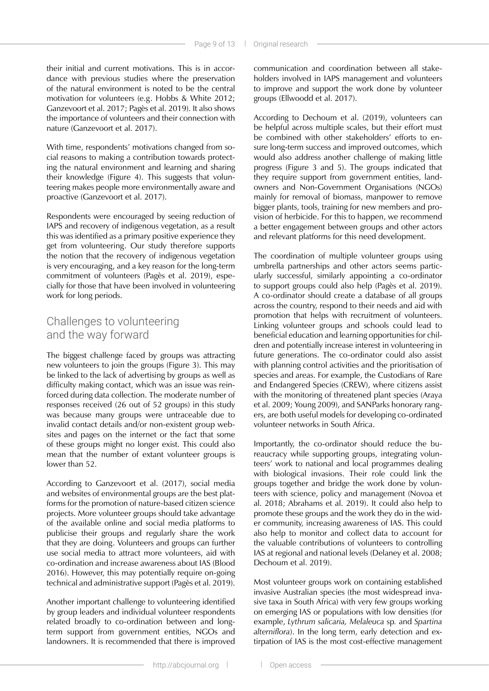their initial and current motivations. This is in accordance with previous studies where the preservation of the natural environment is noted to be the central motivation for volunteers (e.g. Hobbs & White 2012; Ganzevoort et al. 2017; Pagès et al. 2019). It also shows the importance of volunteers and their connection with nature (Ganzevoort et al. 2017).

With time, respondents' motivations changed from social reasons to making a contribution towards protecting the natural environment and learning and sharing their knowledge (Figure 4). This suggests that volunteering makes people more environmentally aware and proactive (Ganzevoort et al. 2017).

Respondents were encouraged by seeing reduction of IAPS and recovery of indigenous vegetation, as a result this was identified as a primary positive experience they get from volunteering. Our study therefore supports the notion that the recovery of indigenous vegetation is very encouraging, and a key reason for the long-term commitment of volunteers (Pagès et al. 2019), especially for those that have been involved in volunteering work for long periods.

#### Challenges to volunteering and the way forward

The biggest challenge faced by groups was attracting new volunteers to join the groups (Figure 3). This may be linked to the lack of advertising by groups as well as difficulty making contact, which was an issue was reinforced during data collection. The moderate number of responses received (26 out of 52 groups) in this study was because many groups were untraceable due to invalid contact details and/or non-existent group websites and pages on the internet or the fact that some of these groups might no longer exist. This could also mean that the number of extant volunteer groups is lower than 52.

According to Ganzevoort et al. (2017), social media and websites of environmental groups are the best platforms for the promotion of nature-based citizen science projects. More volunteer groups should take advantage of the available online and social media platforms to publicise their groups and regularly share the work that they are doing. Volunteers and groups can further use social media to attract more volunteers, aid with co-ordination and increase awareness about IAS (Blood 2016). However, this may potentially require on-going technical and administrative support (Pagès et al. 2019).

Another important challenge to volunteering identified by group leaders and individual volunteer respondents related broadly to co-ordination between and longterm support from government entities, NGOs and landowners. It is recommended that there is improved communication and coordination between all stakeholders involved in IAPS management and volunteers to improve and support the work done by volunteer groups (Ellwoodd et al. 2017).

According to Dechoum et al. (2019), volunteers can be helpful across multiple scales, but their effort must be combined with other stakeholders' efforts to ensure long-term success and improved outcomes, which would also address another challenge of making little progress (Figure 3 and 5). The groups indicated that they require support from government entities, landowners and Non-Government Organisations (NGOs) mainly for removal of biomass, manpower to remove bigger plants, tools, training for new members and provision of herbicide. For this to happen, we recommend a better engagement between groups and other actors and relevant platforms for this need development.

The coordination of multiple volunteer groups using umbrella partnerships and other actors seems particularly successful, similarly appointing a co-ordinator to support groups could also help (Pagès et al. 2019). A co-ordinator should create a database of all groups across the country, respond to their needs and aid with promotion that helps with recruitment of volunteers. Linking volunteer groups and schools could lead to beneficial education and learning opportunities for children and potentially increase interest in volunteering in future generations. The co-ordinator could also assist with planning control activities and the prioritisation of species and areas. For example, the Custodians of Rare and Endangered Species (CREW), where citizens assist with the monitoring of threatened plant species (Araya et al. 2009; Young 2009), and SANParks honorary rangers, are both useful models for developing co-ordinated volunteer networks in South Africa.

Importantly, the co-ordinator should reduce the bureaucracy while supporting groups, integrating volunteers' work to national and local programmes dealing with biological invasions. Their role could link the groups together and bridge the work done by volunteers with science, policy and management (Novoa et al. 2018; Abrahams et al. 2019). It could also help to promote these groups and the work they do in the wider community, increasing awareness of IAS. This could also help to monitor and collect data to account for the valuable contributions of volunteers to controlling IAS at regional and national levels (Delaney et al. 2008; Dechoum et al. 2019).

Most volunteer groups work on containing established invasive Australian species (the most widespread invasive taxa in South Africa) with very few groups working on emerging IAS or populations with low densities (for example, *Lythrum salicaria, Melaleuca* sp*.* and *Spartina alterniflora*). In the long term, early detection and extirpation of IAS is the most cost-effective management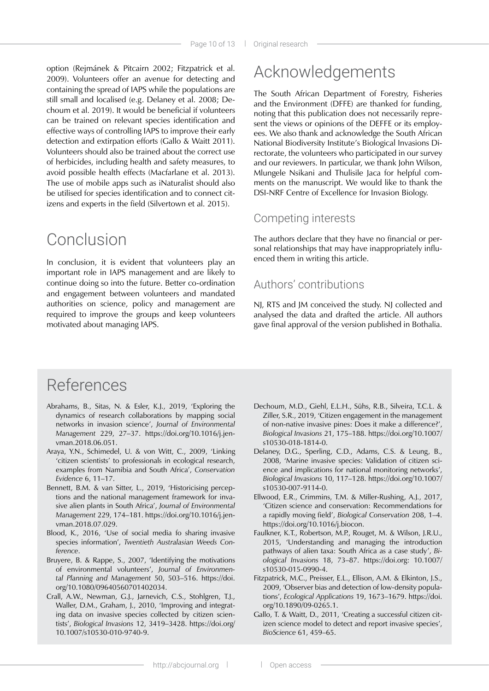option (Rejmánek & Pitcairn 2002; Fitzpatrick et al. 2009). Volunteers offer an avenue for detecting and containing the spread of IAPS while the populations are still small and localised (e.g. Delaney et al. 2008; Dechoum et al. 2019). It would be beneficial if volunteers can be trained on relevant species identification and effective ways of controlling IAPS to improve their early detection and extirpation efforts (Gallo & Waitt 2011). Volunteers should also be trained about the correct use of herbicides, including health and safety measures, to avoid possible health effects (Macfarlane et al. 2013). The use of mobile apps such as iNaturalist should also be utilised for species identification and to connect citizens and experts in the field (Silvertown et al. 2015).

## Conclusion

In conclusion, it is evident that volunteers play an important role in IAPS management and are likely to continue doing so into the future. Better co-ordination and engagement between volunteers and mandated authorities on science, policy and management are required to improve the groups and keep volunteers motivated about managing IAPS.

## Acknowledgements

The South African Department of Forestry, Fisheries and the Environment (DFFE) are thanked for funding, noting that this publication does not necessarily represent the views or opinions of the DEFFE or its employees. We also thank and acknowledge the South African National Biodiversity Institute's Biological Invasions Directorate, the volunteers who participated in our survey and our reviewers. In particular, we thank John Wilson, Mlungele Nsikani and Thulisile Jaca for helpful comments on the manuscript. We would like to thank the DSI-NRF Centre of Excellence for Invasion Biology.

#### Competing interests

The authors declare that they have no financial or personal relationships that may have inappropriately influenced them in writing this article.

#### Authors' contributions

NJ, RTS and JM conceived the study. NJ collected and analysed the data and drafted the article. All authors gave final approval of the version published in Bothalia.

## References

- Abrahams, B., Sitas, N. & Esler, K.J., 2019, 'Exploring the dynamics of research collaborations by mapping social networks in invasion science', *Journal of Environmental Management* 229, 27–37. [https://doi.org/10.1016/j.jen](https://doi.org/10.1016/j.jenvman.2018.06.051)[vman.2018.06.051.](https://doi.org/10.1016/j.jenvman.2018.06.051)
- Araya, Y.N., Schimedel, U. & von Witt, C., 2009, 'Linking 'citizen scientists' to professionals in ecological research, examples from Namibia and South Africa', *Conservation Evidence* 6, 11–17.
- Bennett, B.M. & van Sitter, L., 2019, 'Historicising perceptions and the national management framework for invasive alien plants in South Africa', *Journal of Environmental Management* 229, 174–181. [https://doi.org/10.1016/j.jen](https://doi.org/10.1016/j.jenvman.2018.07.029)[vman.2018.07.029.](https://doi.org/10.1016/j.jenvman.2018.07.029)
- Blood, K., 2016, 'Use of social media fo sharing invasive species information', *Twentieth Australasian Weeds Conference*.
- Bruyere, B. & Rappe, S., 2007, 'Identifying the motivations of environmental volunteers', *Journal of Environmental Planning and Management* 50, 503–516. [https://doi.](https://doi.org/10.1080/09640560701402034) [org/10.1080/09640560701402034](https://doi.org/10.1080/09640560701402034).
- Crall, A.W., Newman, G.J., Jarnevich, C.S., Stohlgren, T.J., Waller, D.M., Graham, J., 2010, 'Improving and integrating data on invasive species collected by citizen scientists', *Biological Invasions* 12, 3419–3428. [https://doi.org/](https://doi.org) 10.1007/s10530-010-9740-9.
- Dechoum, M.D., Giehl, E.L.H., Sühs, R.B., Silveira, T.C.L. & Ziller, S.R., 2019, 'Citizen engagement in the management of non-native invasive pines: Does it make a difference?', *Biological Invasions* 21, 175–188. [https://doi.org/10.1007/](https://doi.org/10.1007/s10530) [s10530](https://doi.org/10.1007/s10530)-018-1814-0.
- Delaney, D.G., Sperling, C.D., Adams, C.S. & Leung, B., 2008, 'Marine invasive species: Validation of citizen science and implications for national monitoring networks', *Biological Invasions* 10, 117–128. [https://doi.org/10.1007/](https://doi.org/10.1007/s10530) [s10530](https://doi.org/10.1007/s10530)-007-9114-0.
- Ellwood, E.R., Crimmins, T.M. & Miller-Rushing, A.J., 2017, 'Citizen science and conservation: Recommendations for a rapidly moving field', *Biological Conservation* 208, 1–4. <https://doi.org/10.1016/j.biocon>.
- Faulkner, K.T., Robertson, M.P., Rouget, M. & Wilson, J.R.U., 2015, 'Understanding and managing the introduction pathways of alien taxa: South Africa as a case study', *Biological Invasions* 18, 73–87. [https://doi.org:](https://doi.org) 10.1007/ s10530-015-0990-4.
- Fitzpatrick, M.C., Preisser, E.L., Ellison, A.M. & Elkinton, J.S., 2009, 'Observer bias and detection of low-density populations', *Ecological Applications* 19, 1673–1679. [https://doi.](https://doi.org/10.1890/09) [org/10.1890/09](https://doi.org/10.1890/09)-0265.1.
- Gallo, T. & Waitt, D., 2011, 'Creating a successful citizen citizen science model to detect and report invasive species', *BioScience* 61, 459–65.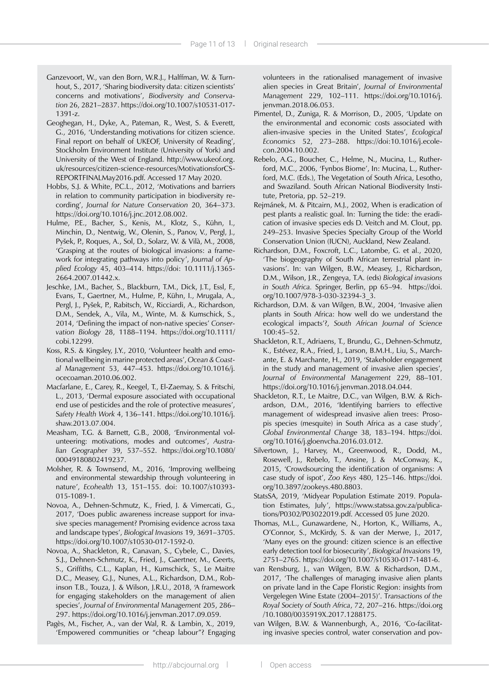- Ganzevoort, W., van den Born, W.R.J., Halffman, W. & Turnhout, S., 2017, 'Sharing biodiversity data: citizen scientists' concerns and motivations', *Biodiversity and Conservation* 26, 2821–2837.<https://doi.org/10.1007/s10531>-017- 1391-z.
- Geoghegan, H., Dyke, A., Pateman, R., West, S. & Everett, G., 2016, 'Understanding motivations for citizen science. Final report on behalf of UKEOF, University of Reading', Stockholm Environment Institute (University of York) and University of the West of England. [http://www.ukeof.org.](http://www.ukeof.org.uk/resources/citizen-science-resources/MotivationsforCSREPORTFINALMay2016.pdf) [uk/resources/citizen-science-resources/MotivationsforCS-](http://www.ukeof.org.uk/resources/citizen-science-resources/MotivationsforCSREPORTFINALMay2016.pdf)[REPORTFINALMay2016.pdf.](http://www.ukeof.org.uk/resources/citizen-science-resources/MotivationsforCSREPORTFINALMay2016.pdf) Accessed 17 May 2020.
- Hobbs, S.J. & White, P.C.L., 2012, 'Motivations and barriers in relation to community participation in biodiversity recording', *Journal for Nature Conservation* 20, 364–373. <https://doi.org/10.1016/j.jnc.2012.08.002>.
- Hulme, P.E., Bacher, S., Kenis, M., Klotz, S., Kühn, I., Minchin, D., Nentwig, W., Olenin, S., Panov, V., Pergl, J., Pyšek, P., Roques, A., Sol, D., Solarz, W. & Vilà, M., 2008, 'Grasping at the routes of biological invasions: a framework for integrating pathways into policy', *Journal of Applied Ecology* 45, 403–414. https://doi: 10.1111/j.1365- 2664.2007.01442.x.
- Jeschke, J.M., Bacher, S., Blackburn, T.M., Dick, J.T., Essl, F., Evans, T., Gaertner, M., Hulme, P., Kühn, I., Mrugala, A., Pergl, J., Pyšek, P., Rabitsch, W., Ricciardi, A., Richardson, D.M., Sendek, A., Vila, M., Winte, M. & Kumschick, S., 2014, 'Defining the impact of non-native species' *Conservation Biology* 28, 1188–1194. [https://doi.org/10.1111/](https://doi.org/10.1111/cobi.12299) [cobi.12299](https://doi.org/10.1111/cobi.12299).
- Koss, R.S. & Kingsley, J.Y., 2010, 'Volunteer health and emotional wellbeing in marine protected areas', *Ocean & Coastal Management* 53, 447–453. [https://doi.org/10.1016/j.](https://doi.org/10.1016/j.ocecoaman.2010.06.002) [ocecoaman.2010.06.002.](https://doi.org/10.1016/j.ocecoaman.2010.06.002)
- Macfarlane, E., Carey, R., Keegel, T., El-Zaemay, S. & Fritschi, L., 2013, 'Dermal exposure associated with occupational end use of pesticides and the role of protective measures', S*afety Health Work* 4, 136–141. [https://doi.org/10.1016/j.](https://doi.org/10.1016/j.shaw.2013.07.004) [shaw.2013.07.004](https://doi.org/10.1016/j.shaw.2013.07.004).
- Measham, T.G. & Barnett, G.B., 2008, 'Environmental volunteering: motivations, modes and outcomes', *Australian Geographer* 39, 537–552. [https://doi.org/10.1080/](https://doi.org/10.1080) 00049180802419237.
- Molsher, R. & Townsend, M., 2016, 'Improving wellbeing and environmental stewardship through volunteering in nature', *Ecohealth* 13, 151–155. doi: 10.1007/s10393- 015-1089-1.
- Novoa, A., Dehnen-Schmutz, K., Fried, J. & Vimercati, G., 2017, 'Does public awareness increase support for invasive species management? Promising evidence across taxa and landscape types', *Biological Invasions* 19, 3691–3705. <https://doi.org/10.1007/s10530>-017-1592-0.
- Novoa, A., Shackleton, R., Canavan, S., Cybele, C., Davies, S.J., Dehnen-Schmutz, K., Fried, J., Gaertner, M., Geerts, S., Griffiths, C.L., Kaplan, H., Kumschick, S., Le Maitre D.C., Measey, G.J., Nunes, A.L., Richardson, D.M., Robinson T.B., Touza, J. & Wilson, J.R.U., 2018, 'A framework for engaging stakeholders on the management of alien species', *Journal of Environmental Management* 205, 286– 297. [https://doi.org/10.1016/j.jenvman.2017.09.059.](https://doi.org/10.1016/j.jenvman.2017.09.059)
- Pagès, M., Fischer, A., van der Wal, R. & Lambin, X., 2019, 'Empowered communities or "cheap labour"? Engaging

volunteers in the rationalised management of invasive alien species in Great Britain', *Journal of Environmental Management* 229, 102–111. [https://doi.org/10.1016/j.](https://doi.org/10.1016/j.jenvman.2018.06.053) [jenvman.2018.06.053.](https://doi.org/10.1016/j.jenvman.2018.06.053)

- Pimentel, D., Zuniga, R. & Morrison, D., 2005, 'Update on the environmental and economic costs associated with alien-invasive species in the United States', *Ecological Economics* 52, 273–288. https://doi:[10.1016/j.ecole](10.1016/j.ecolecon)[con](10.1016/j.ecolecon).2004.10.002.
- Rebelo, A.G., Boucher, C., Helme, N., Mucina, L., Rutherford, M.C., 2006, 'Fynbos Biome', In: Mucina, L., Rutherford, M.C. (Eds.), The Vegetation of South Africa, Lesotho, and Swaziland. South African National Biodiversity Institute, Pretoria, pp. 52–219.
- Rejmánek, M. & Pitcairn, M.J., 2002, When is eradication of pest plants a realistic goal. In: Turning the tide: the eradication of invasive species eds D. Veitch and M. Clout, pp. 249–253. Invasive Species Specialty Group of the World Conservation Union (IUCN), Auckland, New Zealand.
- Richardson, D.M., Foxcroft, L.C., Latombe, G. et al., 2020, 'The biogeography of South African terrestrial plant invasions'. In: van Wilgen, B.W., Measey, J., Richardson, D.M., Wilson, J.R., Zengeya, T.A. (eds) *Biological invasions in South Africa.* Springer, Berlin, pp 65–94. [https://doi.](https://doi.org/10.1007/978) [org/10.1007/978](https://doi.org/10.1007/978)-3-030-32394-3\_3.
- Richardson, D.M. & van Wilgen, B.W., 2004, 'Invasive alien plants in South Africa: how well do we understand the ecological impacts'?, *South African Journal of Science*  100:45–52.
- Shackleton, R.T., Adriaens, T., Brundu, G., Dehnen-Schmutz, K., Estévez, R.A., Fried, J., Larson, B.M.H., Liu, S., Marchante, E. & Marchante, H., 2019, 'Stakeholder engagement in the study and management of invasive alien species', *Journal of Environmental Management* 229, 88–101. <https://doi.org/10.1016/j.jenvman.2018.04.044>.
- Shackleton, R.T., Le Maitre, D.C., van Wilgen, B.W. & Richardson, D.M., 2016, 'Identifying barriers to effective management of widespread invasive alien trees: Prosopis species (mesquite) in South Africa as a case study', *Global Environmental Change* 38, 183–194. [https://doi.](https://doi.org/10.1016/j.gloenvcha.2016.03.012) [org/10.1016/j.gloenvcha.2016.03.012](https://doi.org/10.1016/j.gloenvcha.2016.03.012).
- Silvertown, J., Harvey, M., Greenwood, R., Dodd, M., Rosewell, J., Rebelo, T., Ansine, J. & McConway, K., 2015, 'Crowdsourcing the identification of organisms: A case study of ispot', *Zoo Keys* 480, 125–146. [https://doi.](https://doi.org/10.3897/zookeys.480.8803) [org/10.3897/zookeys.480.8803](https://doi.org/10.3897/zookeys.480.8803).
- StatsSA, 2019, 'Midyear Population Estimate 2019. Population Estimates, July', [https://www.statssa.gov.za/publica](https://www.statssa.gov.za/publications/P0302/P03022019.pdf)[tions/P0302/P03022019.pdf](https://www.statssa.gov.za/publications/P0302/P03022019.pdf). Accessed 05 June 2020.
- Thomas, M.L., Gunawardene, N., Horton, K., Williams, A., O'Connor, S., McKirdy, S. & van der Merwe, J., 2017, 'Many eyes on the ground: citizen science is an effective early detection tool for biosecurity', *Biological Invasions* 19, 2751–2765. <https://doi.org/10.1007/s10530>-017-1481-6.
- van Rensburg, J., van Wilgen, B.W. & Richardson, D.M., 2017, 'The challenges of managing invasive alien plants on private land in the Cape Floristic Region: insights from Vergelegen Wine Estate (2004–2015)'. T*ransactions of the Royal Society of South Africa*, 72, 207–216. [https://doi.org](https://doi.org/10.1080/0035919X.2017.1288175) [/10.1080/0035919X.2017.1288175](https://doi.org/10.1080/0035919X.2017.1288175).
- van Wilgen, B.W. & Wannenburgh, A., 2016, 'Co-facilitating invasive species control, water conservation and pov-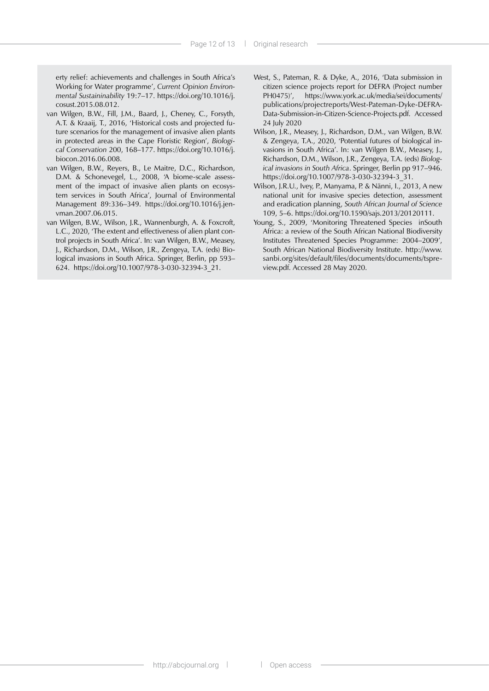erty relief: achievements and challenges in South Africa's Working for Water programme', *Current Opinion Environmental Sustaininability* 19:7–17. [https://doi.org/10.1016/j.](https://doi.org/10.1016/j.cosust.2015.08.012) [cosust.2015.08.012.](https://doi.org/10.1016/j.cosust.2015.08.012)

- van Wilgen, B.W., Fill, J.M., Baard, J., Cheney, C., Forsyth, A.T. & Kraaij, T., 2016, 'Historical costs and projected future scenarios for the management of invasive alien plants in protected areas in the Cape Floristic Region', *Biological Conservation* 200, 168–177. [https://doi.org/10.1016/j.](https://doi.org/10.1016/j.biocon.2016.06.008) [biocon.2016.06.008.](https://doi.org/10.1016/j.biocon.2016.06.008)
- van Wilgen, B.W., Reyers, B., Le Maitre, D.C., Richardson, D.M. & Schonevegel, L., 2008, 'A biome-scale assessment of the impact of invasive alien plants on ecosystem services in South Africa', Journal of Environmental Management 89:336–349. [https://doi.org/10.1016/j.jen](https://doi.org/10.1016/j.jenvman.2007.06.015)[vman.2007.06.015.](https://doi.org/10.1016/j.jenvman.2007.06.015)
- van Wilgen, B.W., Wilson, J.R., Wannenburgh, A. & Foxcroft, L.C., 2020, 'The extent and effectiveness of alien plant control projects in South Africa'. In: van Wilgen, B.W., Measey, J., Richardson, D.M., Wilson, J.R., Zengeya, T.A. (eds) Biological invasions in South Africa. Springer, Berlin, pp 593– 624. <https://doi.org/10.1007/978>-3-030-32394-3\_21.
- West, S., Pateman, R. & Dyke, A., 2016, 'Data submission in citizen science projects report for DEFRA (Project number PH0475)', [https://www.york.ac.uk/media/sei/documents/](https://www.york.ac.uk/media/sei/documents/publications/projectreports/West-Pateman-Dyke-DEFRA-Data-Submission-in-Citizen-Science-Projects.pdf) [publications/projectreports/West-Pateman-Dyke-DEFRA-](https://www.york.ac.uk/media/sei/documents/publications/projectreports/West-Pateman-Dyke-DEFRA-Data-Submission-in-Citizen-Science-Projects.pdf)[Data-Submission-in-Citizen-Science-Projects.pdf.](https://www.york.ac.uk/media/sei/documents/publications/projectreports/West-Pateman-Dyke-DEFRA-Data-Submission-in-Citizen-Science-Projects.pdf) Accessed 24 July 2020
- Wilson, J.R., Measey, J., Richardson, D.M., van Wilgen, B.W. & Zengeya, T.A., 2020, 'Potential futures of biological invasions in South Africa'. In: van Wilgen B.W., Measey, J., Richardson, D.M., Wilson, J.R., Zengeya, T.A. (eds) *Biological invasions in South Africa*. Springer, Berlin pp 917–946. <https://doi.org/10.1007/978>-3-030-32394-3\_31.
- Wilson, J.R.U., Ivey, P., Manyama, P. & Nänni, I., 2013, A new national unit for invasive species detection, assessment and eradication planning, *South African Journal of Science* 109, 5–6. [https://doi.org/10.1590/sajs.2013/20120111.](https://doi.org/10.1590/sajs.2013/20120111)
- Young, S., 2009, 'Monitoring Threatened Species inSouth Africa: a review of the South African National Biodiversity Institutes Threatened Species Programme: 2004–2009', South African National Biodiversity Institute. http:/[/www.](www.sanbi.org/sites/default/files/documents/documents/tspreview.pdf) [sanbi.org/sites/default/files/documents/documents/tspre](www.sanbi.org/sites/default/files/documents/documents/tspreview.pdf)[view.pdf.](www.sanbi.org/sites/default/files/documents/documents/tspreview.pdf) Accessed 28 May 2020.